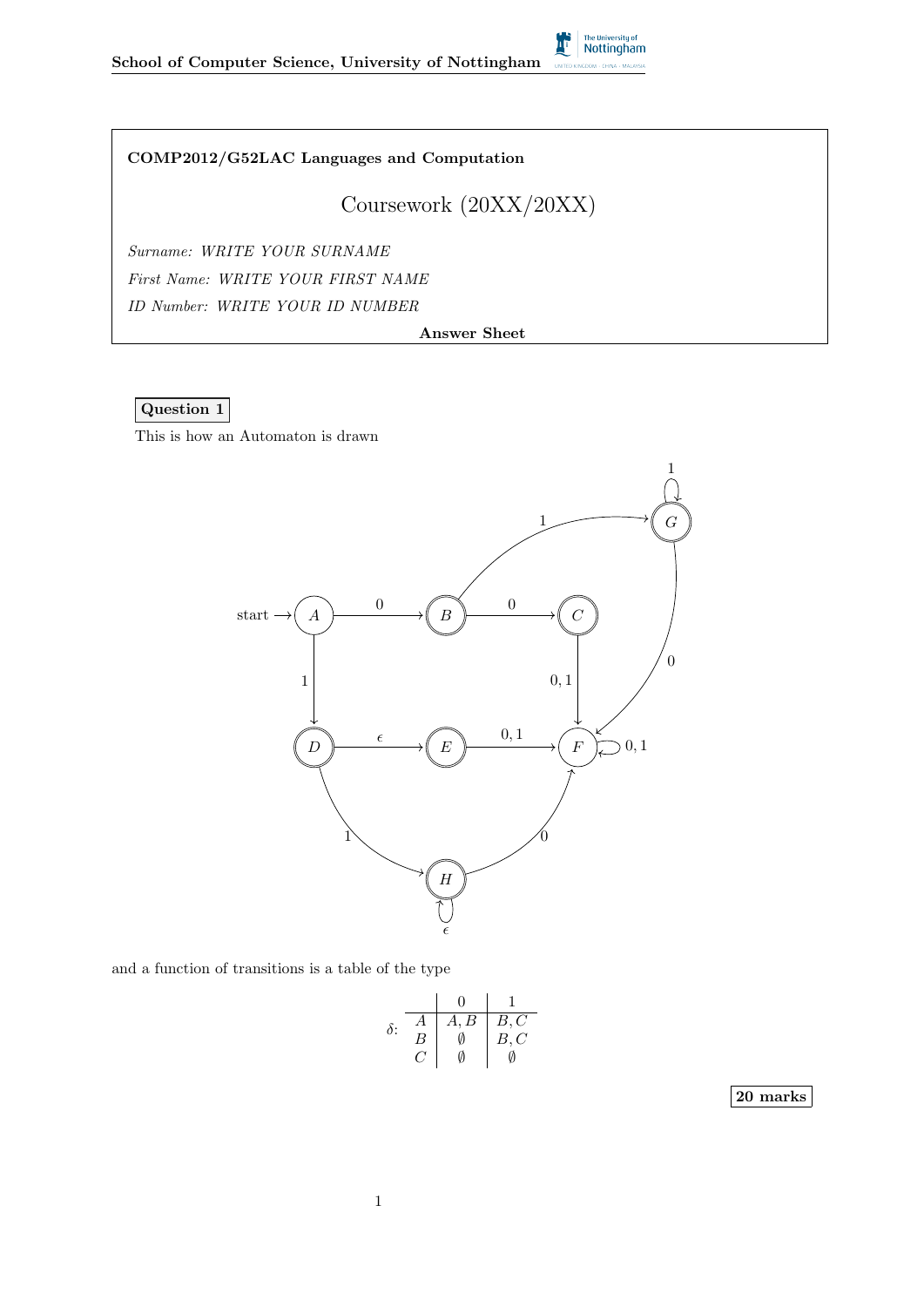

## COMP2012/G52LAC Languages and Computation

# Coursework (20XX/20XX)

Surname: WRITE YOUR SURNAME First Name: WRITE YOUR FIRST NAME ID Number: WRITE YOUR ID NUMBER

#### Answer Sheet

#### Question 1

This is how an Automaton is drawn



and a function of transitions is a table of the type

$$
\delta\colon\begin{array}{c|c} & 0 & 1 \\ \hline A & A,B & B,C \\ B & \emptyset & B,C \\ C & \emptyset & \emptyset \end{array}
$$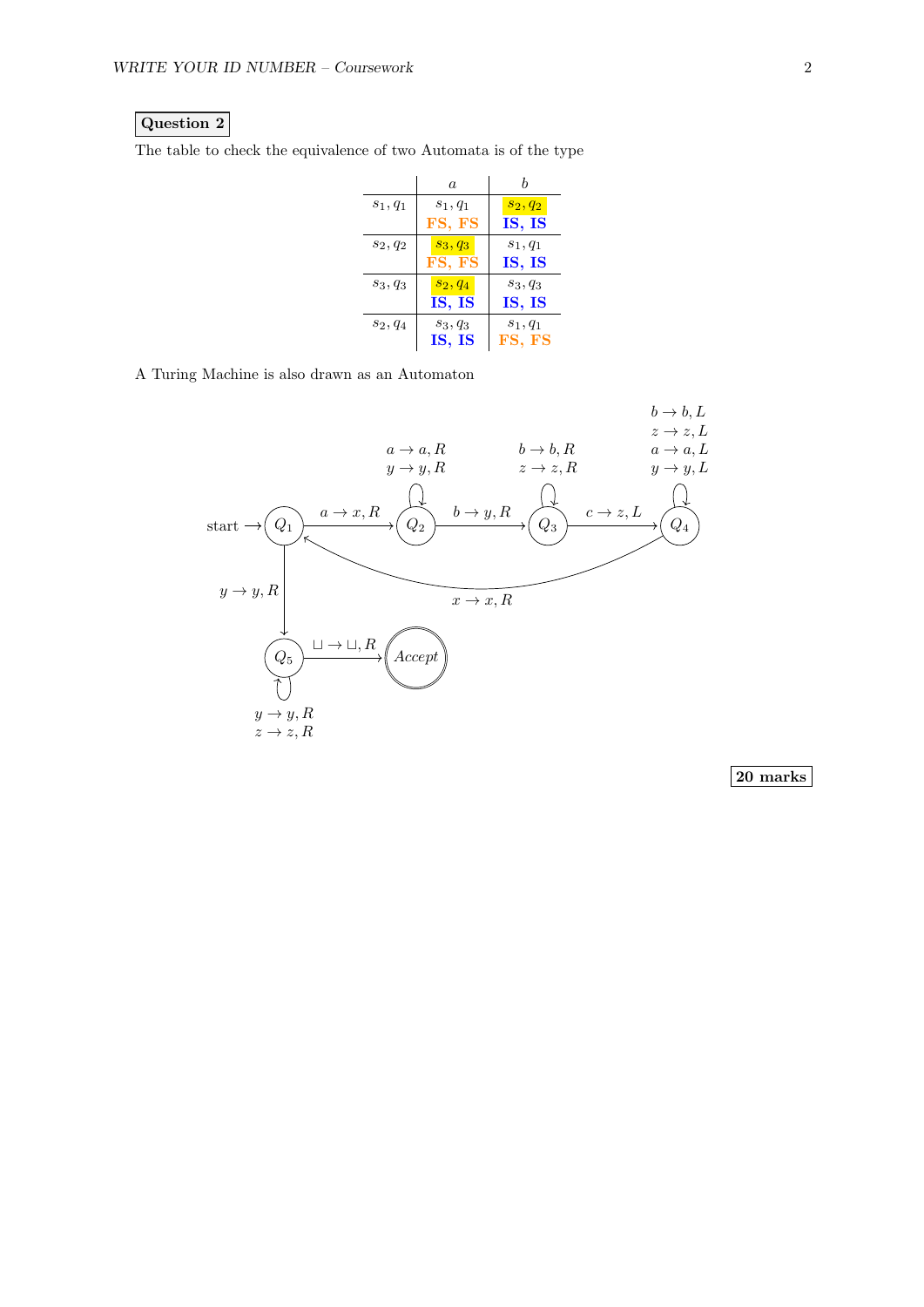The table to check the equivalence of two Automata is of the type

|            | a.         | Ь          |
|------------|------------|------------|
| $s_1, q_1$ | $s_1, q_1$ | $s_2, q_2$ |
|            | FS, FS     | IS, IS     |
| $s_2, q_2$ | $s_3, q_3$ | $s_1, q_1$ |
|            | FS, FS     | IS, IS     |
| $s_3, q_3$ | $s_2, q_4$ | $s_3, q_3$ |
|            | IS, IS     | IS, IS     |
| $s_2, q_4$ | $s_3, q_3$ | $s_1, q_1$ |
|            | IS, IS     | FS, FS     |

A Turing Machine is also drawn as an Automaton

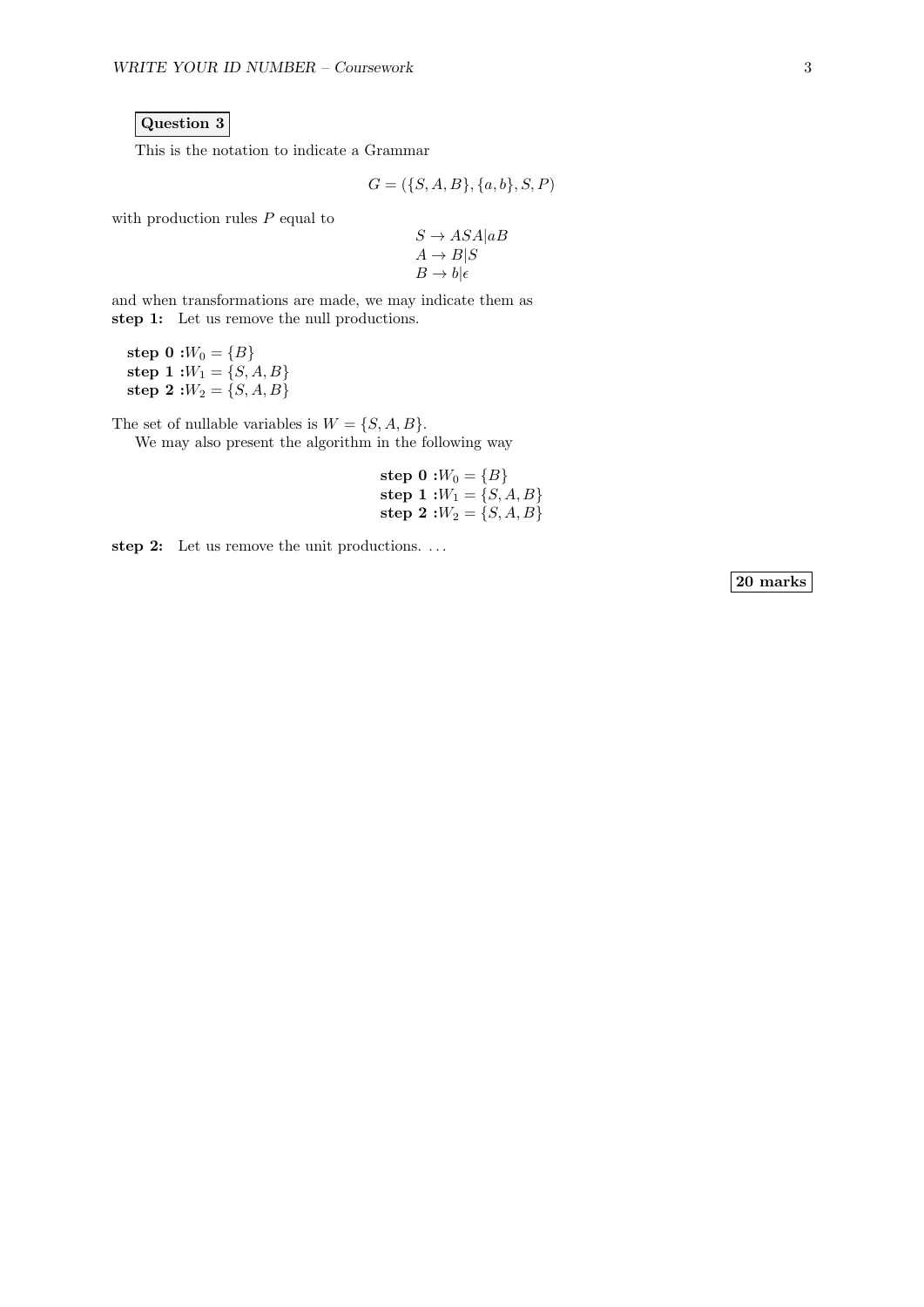This is the notation to indicate a Grammar

$$
G = (\{S, A, B\}, \{a, b\}, S, P)
$$

with production rules  $P$  equal to

$$
S \to ASA|aBA \to B|SB \to b|\epsilon
$$

and when transformations are made, we may indicate them as step 1: Let us remove the null productions.

step  $0:W_0 = {B}$  ${\bf step} \; {\bf 1} \; {\bf :} W_1 = \{ S, A, B \}$  ${\bf step} \,\, {\bf 2} \,\,{:} W_2 = \{S,A,B\}$ 

The set of nullable variables is  $W = \{S, A, B\}.$ 

We may also present the algorithm in the following way

 $\textbf{step 0 :} W_0 = \{B\}$  $\textbf{step 1:} W_1 = \{S, A, B\}$  ${\bf step} \,\, {\bf 2} \,\,{:} W_2 = \{ S, A, B \}$ 

step 2: Let us remove the unit productions. ...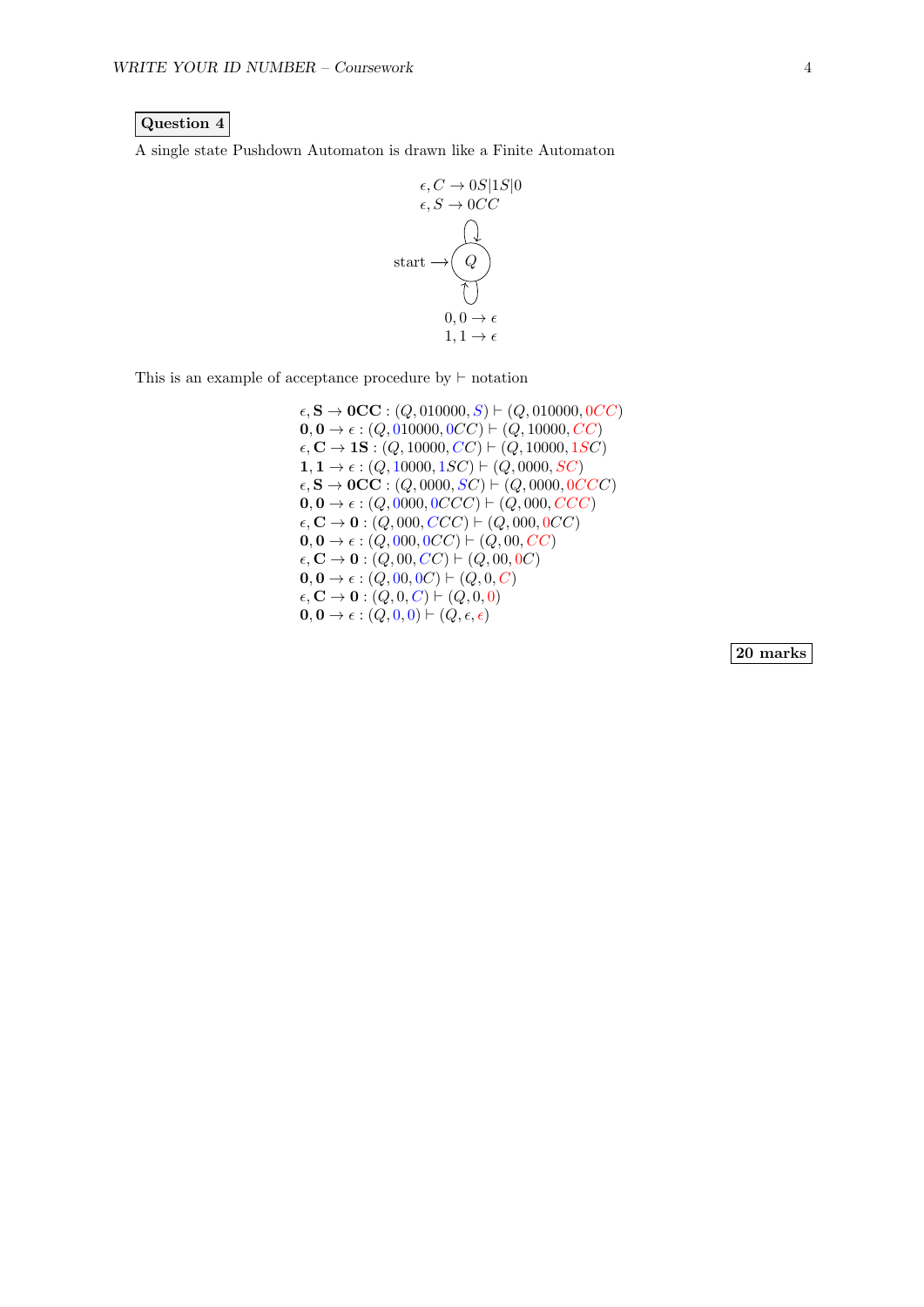A single state Pushdown Automaton is drawn like a Finite Automaton



This is an example of acceptance procedure by  $\vdash$  notation

$$
\epsilon, \mathbf{S} \to \mathbf{OCC} : (Q, 010000, S) \vdash (Q, 010000, 0CC) \n\mathbf{0}, \mathbf{0} \to \epsilon : (Q, 010000, 0CC) \vdash (Q, 10000, CC) \n\epsilon, \mathbf{C} \to \mathbf{1S} : (Q, 10000, CC) \vdash (Q, 10000, 1SC) \n\mathbf{1}, \mathbf{1} \to \epsilon : (Q, 10000, 1SC) \vdash (Q, 0000, SC) \n\epsilon, \mathbf{S} \to \mathbf{OCC} : (Q, 0000, SC) \vdash (Q, 0000, 0CCC) \n\mathbf{0}, \mathbf{0} \to \epsilon : (Q, 0000, 0CCC) \vdash (Q, 000, CCC) \n\mathbf{0}, \mathbf{0} \to \epsilon : (Q, 0000, CCC) \vdash (Q, 000, 0CC) \n\mathbf{0}, \mathbf{0} \to \epsilon : (Q, 000, 0CC) \vdash (Q, 00, CC) \n\epsilon, \mathbf{C} \to \mathbf{0} : (Q, 00, CC) \vdash (Q, 00, 0C) \n\mathbf{0}, \mathbf{0} \to \epsilon : (Q, 00, 0C) \vdash (Q, 0, 0)
$$
  
\n\epsilon, \mathbf{C} \to \mathbf{0} : (Q, 0, C) \vdash (Q, 0, 0)  
\n\mathbf{0}, \mathbf{0} \to \epsilon : (Q, 0, 0) \vdash (Q, \epsilon, \epsilon)